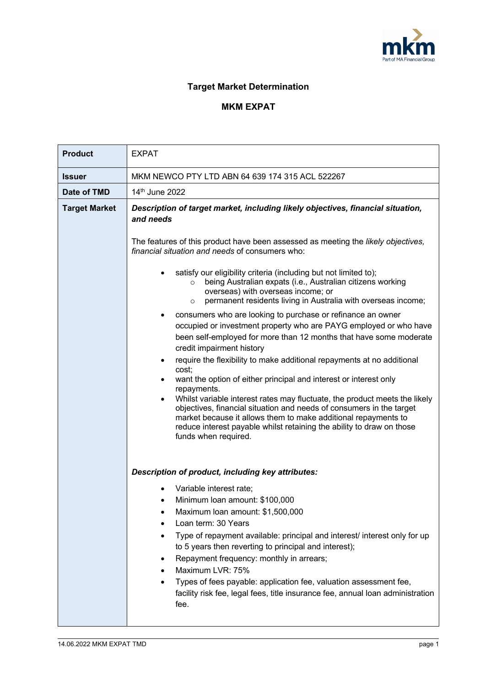

## **Target Market Determination**

## **MKM EXPAT**

| <b>Product</b>       | <b>EXPAT</b>                                                                                                                                                                                                                                                                                                                                                                                                                                                                                                                                                                                                                                                                                                                                                                                                                                                                                    |  |  |  |
|----------------------|-------------------------------------------------------------------------------------------------------------------------------------------------------------------------------------------------------------------------------------------------------------------------------------------------------------------------------------------------------------------------------------------------------------------------------------------------------------------------------------------------------------------------------------------------------------------------------------------------------------------------------------------------------------------------------------------------------------------------------------------------------------------------------------------------------------------------------------------------------------------------------------------------|--|--|--|
| <b>Issuer</b>        | MKM NEWCO PTY LTD ABN 64 639 174 315 ACL 522267                                                                                                                                                                                                                                                                                                                                                                                                                                                                                                                                                                                                                                                                                                                                                                                                                                                 |  |  |  |
| Date of TMD          | 14 <sup>th</sup> June 2022                                                                                                                                                                                                                                                                                                                                                                                                                                                                                                                                                                                                                                                                                                                                                                                                                                                                      |  |  |  |
| <b>Target Market</b> | Description of target market, including likely objectives, financial situation,<br>and needs<br>The features of this product have been assessed as meeting the likely objectives,                                                                                                                                                                                                                                                                                                                                                                                                                                                                                                                                                                                                                                                                                                               |  |  |  |
|                      | financial situation and needs of consumers who:<br>satisfy our eligibility criteria (including but not limited to);<br>being Australian expats (i.e., Australian citizens working<br>$\circ$<br>overseas) with overseas income; or<br>permanent residents living in Australia with overseas income;<br>$\circ$<br>consumers who are looking to purchase or refinance an owner<br>occupied or investment property who are PAYG employed or who have<br>been self-employed for more than 12 months that have some moderate<br>credit impairment history<br>require the flexibility to make additional repayments at no additional<br>cost;<br>want the option of either principal and interest or interest only<br>repayments.<br>Whilst variable interest rates may fluctuate, the product meets the likely<br>$\bullet$<br>objectives, financial situation and needs of consumers in the target |  |  |  |
|                      | market because it allows them to make additional repayments to<br>reduce interest payable whilst retaining the ability to draw on those<br>funds when required.<br>Description of product, including key attributes:<br>Variable interest rate;<br>Minimum Ioan amount: \$100,000<br>Maximum Ioan amount: \$1,500,000<br>Loan term: 30 Years<br>Type of repayment available: principal and interest/ interest only for up<br>to 5 years then reverting to principal and interest);<br>Repayment frequency: monthly in arrears;<br>Maximum LVR: 75%<br>Types of fees payable: application fee, valuation assessment fee,<br>facility risk fee, legal fees, title insurance fee, annual loan administration<br>fee.                                                                                                                                                                               |  |  |  |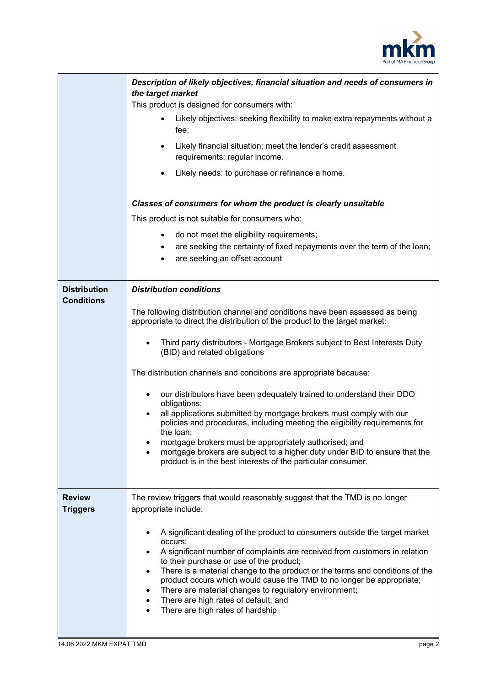

|                                          | Description of likely objectives, financial situation and needs of consumers in<br>the target market<br>This product is designed for consumers with:<br>Likely objectives: seeking flexibility to make extra repayments without a<br>fee;<br>Likely financial situation: meet the lender's credit assessment<br>requirements; regular income.<br>Likely needs: to purchase or refinance a home.<br>$\bullet$<br>Classes of consumers for whom the product is clearly unsuitable<br>This product is not suitable for consumers who:<br>do not meet the eligibility requirements;<br>are seeking the certainty of fixed repayments over the term of the loan;<br>are seeking an offset account                                                                                                                                                                             |
|------------------------------------------|--------------------------------------------------------------------------------------------------------------------------------------------------------------------------------------------------------------------------------------------------------------------------------------------------------------------------------------------------------------------------------------------------------------------------------------------------------------------------------------------------------------------------------------------------------------------------------------------------------------------------------------------------------------------------------------------------------------------------------------------------------------------------------------------------------------------------------------------------------------------------|
| <b>Distribution</b><br><b>Conditions</b> | <b>Distribution conditions</b><br>The following distribution channel and conditions have been assessed as being<br>appropriate to direct the distribution of the product to the target market:<br>Third party distributors - Mortgage Brokers subject to Best Interests Duty<br>(BID) and related obligations<br>The distribution channels and conditions are appropriate because:<br>our distributors have been adequately trained to understand their DDO<br>$\bullet$<br>obligations;<br>all applications submitted by mortgage brokers must comply with our<br>٠<br>policies and procedures, including meeting the eligibility requirements for<br>the loan;<br>mortgage brokers must be appropriately authorised; and<br>mortgage brokers are subject to a higher duty under BID to ensure that the<br>product is in the best interests of the particular consumer. |
| <b>Review</b><br><b>Triggers</b>         | The review triggers that would reasonably suggest that the TMD is no longer<br>appropriate include:<br>A significant dealing of the product to consumers outside the target market<br>٠<br>occurs;<br>A significant number of complaints are received from customers in relation<br>$\bullet$<br>to their purchase or use of the product;<br>There is a material change to the product or the terms and conditions of the<br>$\bullet$<br>product occurs which would cause the TMD to no longer be appropriate;<br>There are material changes to regulatory environment;<br>٠<br>There are high rates of default; and<br>$\bullet$<br>There are high rates of hardship<br>$\bullet$                                                                                                                                                                                      |